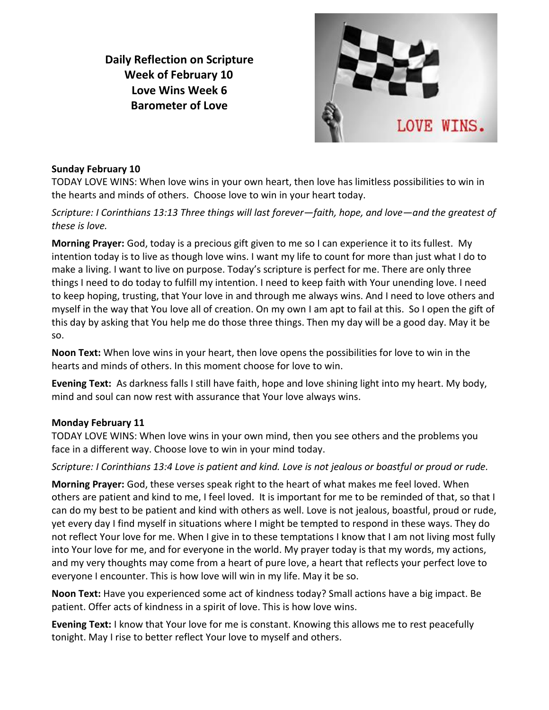**Daily Reflection on Scripture Week of February 10 Love Wins Week 6 Barometer of Love**



#### **Sunday February 10**

TODAY LOVE WINS: When love wins in your own heart, then love has limitless possibilities to win in the hearts and minds of others. Choose love to win in your heart today.

*Scripture: I Corinthians 13:13 Three things will last forever—faith, hope, and love—and the greatest of these is love.*

**Morning Prayer:** God, today is a precious gift given to me so I can experience it to its fullest. My intention today is to live as though love wins. I want my life to count for more than just what I do to make a living. I want to live on purpose. Today's scripture is perfect for me. There are only three things I need to do today to fulfill my intention. I need to keep faith with Your unending love. I need to keep hoping, trusting, that Your love in and through me always wins. And I need to love others and myself in the way that You love all of creation. On my own I am apt to fail at this. So I open the gift of this day by asking that You help me do those three things. Then my day will be a good day. May it be so.

**Noon Text:** When love wins in your heart, then love opens the possibilities for love to win in the hearts and minds of others. In this moment choose for love to win.

**Evening Text:** As darkness falls I still have faith, hope and love shining light into my heart. My body, mind and soul can now rest with assurance that Your love always wins.

#### **Monday February 11**

TODAY LOVE WINS: When love wins in your own mind, then you see others and the problems you face in a different way. Choose love to win in your mind today.

*Scripture: I Corinthians 13:4 Love is patient and kind. Love is not jealous or boastful or proud or rude.*

**Morning Prayer:** God, these verses speak right to the heart of what makes me feel loved. When others are patient and kind to me, I feel loved. It is important for me to be reminded of that, so that I can do my best to be patient and kind with others as well. Love is not jealous, boastful, proud or rude, yet every day I find myself in situations where I might be tempted to respond in these ways. They do not reflect Your love for me. When I give in to these temptations I know that I am not living most fully into Your love for me, and for everyone in the world. My prayer today is that my words, my actions, and my very thoughts may come from a heart of pure love, a heart that reflects your perfect love to everyone I encounter. This is how love will win in my life. May it be so.

**Noon Text:** Have you experienced some act of kindness today? Small actions have a big impact. Be patient. Offer acts of kindness in a spirit of love. This is how love wins.

**Evening Text:** I know that Your love for me is constant. Knowing this allows me to rest peacefully tonight. May I rise to better reflect Your love to myself and others.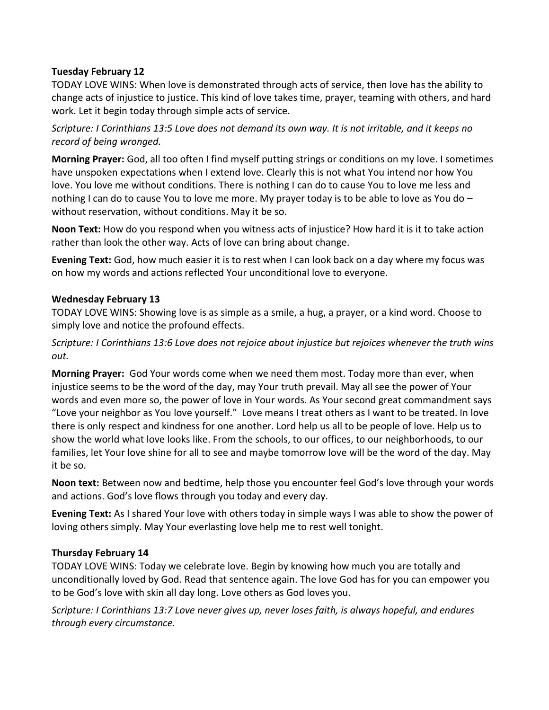## **Tuesday February 12**

TODAY LOVE WINS: When love is demonstrated through acts of service, then love has the ability to change acts of injustice to justice. This kind of love takes time, prayer, teaming with others, and hard work. Let it begin today through simple acts of service.

*Scripture: I Corinthians 13:5 Love does not demand its own way. It is not irritable, and it keeps no record of being wronged.*

**Morning Prayer:** God, all too often I find myself putting strings or conditions on my love. I sometimes have unspoken expectations when I extend love. Clearly this is not what You intend nor how You love. You love me without conditions. There is nothing I can do to cause You to love me less and nothing I can do to cause You to love me more. My prayer today is to be able to love as You do – without reservation, without conditions. May it be so.

**Noon Text:** How do you respond when you witness acts of injustice? How hard it is it to take action rather than look the other way. Acts of love can bring about change.

**Evening Text:** God, how much easier it is to rest when I can look back on a day where my focus was on how my words and actions reflected Your unconditional love to everyone.

### **Wednesday February 13**

TODAY LOVE WINS: Showing love is as simple as a smile, a hug, a prayer, or a kind word. Choose to simply love and notice the profound effects.

*Scripture: I Corinthians 13:6 Love does not rejoice about injustice but rejoices whenever the truth wins out.*

**Morning Prayer:** God Your words come when we need them most. Today more than ever, when injustice seems to be the word of the day, may Your truth prevail. May all see the power of Your words and even more so, the power of love in Your words. As Your second great commandment says "Love your neighbor as You love yourself." Love means I treat others as I want to be treated. In love there is only respect and kindness for one another. Lord help us all to be people of love. Help us to show the world what love looks like. From the schools, to our offices, to our neighborhoods, to our families, let Your love shine for all to see and maybe tomorrow love will be the word of the day. May it be so.

**Noon text:** Between now and bedtime, help those you encounter feel God's love through your words and actions. God's love flows through you today and every day.

**Evening Text:** As I shared Your love with others today in simple ways I was able to show the power of loving others simply. May Your everlasting love help me to rest well tonight.

#### **Thursday February 14**

TODAY LOVE WINS: Today we celebrate love. Begin by knowing how much you are totally and unconditionally loved by God. Read that sentence again. The love God has for you can empower you to be God's love with skin all day long. Love others as God loves you.

*Scripture: I Corinthians 13:7 Love never gives up, never loses faith, is always hopeful, and endures through every circumstance.*